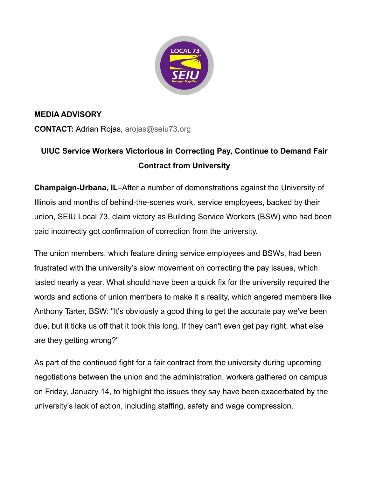

## **MEDIA ADVISORY**

**CONTACT:** Adrian Rojas, [arojas@seiu73.org](mailto:ebailey@seiu73.org)

## **UIUC Service Workers Victorious in Correcting Pay, Continue to Demand Fair Contract from University**

**Champaign-Urbana, IL**–After a number of demonstrations against the University of Illinois and months of behind-the-scenes work, service employees, backed by their union, SEIU Local 73, claim victory as Building Service Workers (BSW) who had been paid incorrectly got confirmation of correction from the university.

The union members, which feature dining service employees and BSWs, had been frustrated with the university's slow movement on correcting the pay issues, which lasted nearly a year. What should have been a quick fix for the university required the words and actions of union members to make it a reality, which angered members like Anthony Tarter, BSW: "It's obviously a good thing to get the accurate pay we've been due, but it ticks us off that it took this long. If they can't even get pay right, what else are they getting wrong?"

As part of the continued fight for a fair contract from the university during upcoming negotiations between the union and the administration, workers gathered on campus on Friday, January 14, to highlight the issues they say have been exacerbated by the university's lack of action, including staffing, safety and wage compression.